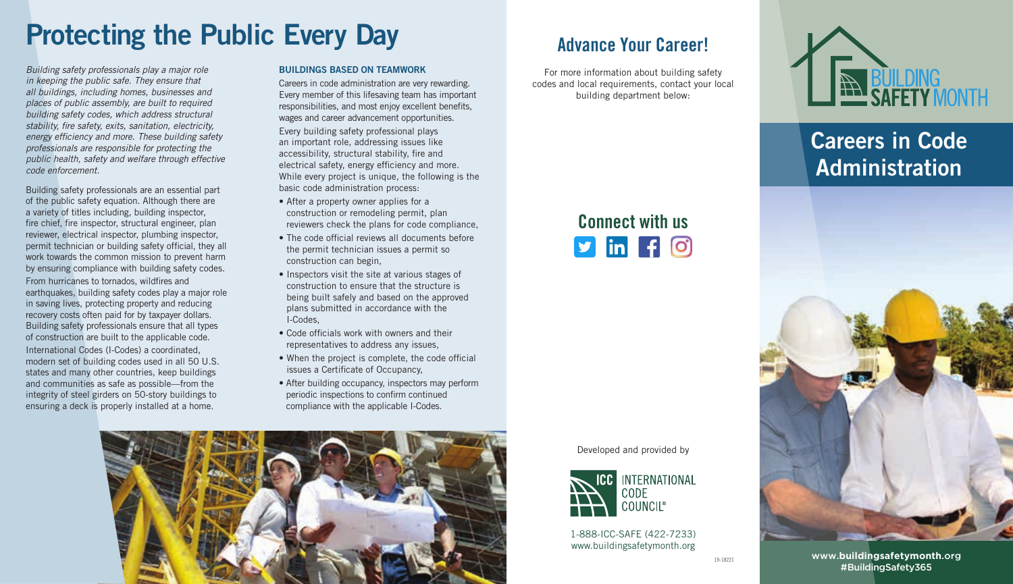# Protecting the Public Every Day

*Building safety professionals play a major role in keeping the public safe. They ensure that all buildings, including homes, businesses and places of public assembly, are built to required building safety codes, which address structural stability, fire safety, exits, sanitation, electricity, energy efficiency and more. These building safety professionals are responsible for protecting the public health, safety and welfare through effective code enforcement.* 

Building safety professionals are an essential part of the public safety equation. Although there are a variety of titles including, building inspector, fire chief, fire inspector, structural engineer, plan reviewer, electrical inspector, plumbing inspector, permit technician or building safety official, they all work towards the common mission to prevent harm by ensuring compliance with building safety codes. From hurricanes to tornados, wildfires and earthquakes, building safety codes play a major role in saving lives, protecting property and reducing recovery costs often paid for by taxpayer dollars. Building safety professionals ensure that all types of construction are built to the applicable code. International Codes (I-Codes) a coordinated, modern set of building codes used in all 50 U.S. states and many other countries, keep buildings and communities as safe as possible—from the integrity of steel girders on 50-story buildings to ensuring a deck is properly installed at a home.

#### BUILDINGS BASED ON TEAMWORK

Careers in code administration are very rewarding. Every member of this lifesaving team has important responsibilities, and most enjoy excellent benefits, wages and career advancement opportunities.

Every building safety professional plays an important role, addressing issues like accessibility, structural stability, fire and electrical safety, energy efficiency and more. While every project is unique, the following is the basic code administration process:

- After a property owner applies for a construction or remodeling permit, plan reviewers check the plans for code compliance,
- The code official reviews all documents before the permit technician issues a permit so construction can begin,
- Inspectors visit the site at various stages of construction to ensure that the structure is being built safely and based on the approved plans submitted in accordance with the I-Codes,
- Code officials work with owners and their representatives to address any issues,
- When the project is complete, the code official issues a Certificate of Occupancy,
- After building occupancy, inspectors may perform periodic inspections to confirm continued compliance with the applicable I-Codes.



### Advance Your Career!

For more information about building safety codes and local requirements, contact your local building department below:

Connect with us

 $\n **sin f 0**\n$ 





1-888-ICC-SAFE (422-7233) www.buildingsafetymonth.org



### Careers in Code Administration



www.**buildingsafetymonth**.org #BuildingSafety365